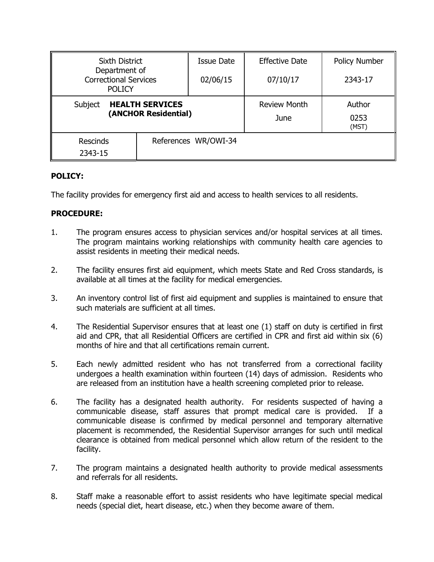| <b>Sixth District</b>                                          |                      | <b>Issue Date</b> | <b>Effective Date</b>       | <b>Policy Number</b>    |
|----------------------------------------------------------------|----------------------|-------------------|-----------------------------|-------------------------|
| Department of<br><b>Correctional Services</b><br><b>POLICY</b> |                      | 02/06/15          | 07/10/17                    | 2343-17                 |
| <b>HEALTH SERVICES</b><br>Subject<br>(ANCHOR Residential)      |                      |                   | <b>Review Month</b><br>June | Author<br>0253<br>(MST) |
| <b>Rescinds</b><br>2343-15                                     | References WR/OWI-34 |                   |                             |                         |

# **POLICY:**

The facility provides for emergency first aid and access to health services to all residents.

# **PROCEDURE:**

- 1. The program ensures access to physician services and/or hospital services at all times. The program maintains working relationships with community health care agencies to assist residents in meeting their medical needs.
- 2. The facility ensures first aid equipment, which meets State and Red Cross standards, is available at all times at the facility for medical emergencies.
- 3. An inventory control list of first aid equipment and supplies is maintained to ensure that such materials are sufficient at all times.
- 4. The Residential Supervisor ensures that at least one (1) staff on duty is certified in first aid and CPR, that all Residential Officers are certified in CPR and first aid within six (6) months of hire and that all certifications remain current.
- 5. Each newly admitted resident who has not transferred from a correctional facility undergoes a health examination within fourteen (14) days of admission. Residents who are released from an institution have a health screening completed prior to release.
- 6. The facility has a designated health authority. For residents suspected of having a communicable disease, staff assures that prompt medical care is provided. If a communicable disease is confirmed by medical personnel and temporary alternative placement is recommended, the Residential Supervisor arranges for such until medical clearance is obtained from medical personnel which allow return of the resident to the facility.
- 7. The program maintains a designated health authority to provide medical assessments and referrals for all residents.
- 8. Staff make a reasonable effort to assist residents who have legitimate special medical needs (special diet, heart disease, etc.) when they become aware of them.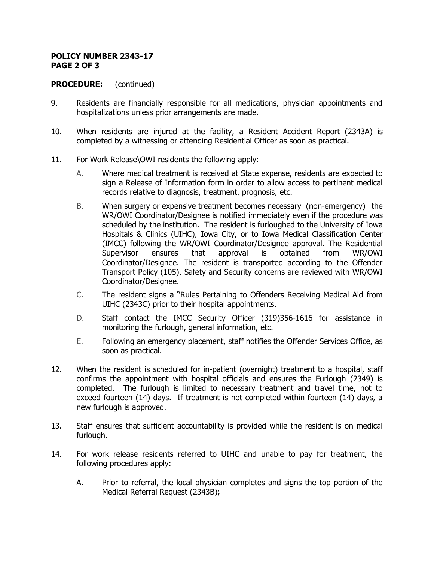### **POLICY NUMBER 2343-17 PAGE 2 OF 3**

## **PROCEDURE:** (continued)

- 9. Residents are financially responsible for all medications, physician appointments and hospitalizations unless prior arrangements are made.
- 10. When residents are injured at the facility, a Resident Accident Report (2343A) is completed by a witnessing or attending Residential Officer as soon as practical.
- 11. For Work Release\OWI residents the following apply:
	- A. Where medical treatment is received at State expense, residents are expected to sign a Release of Information form in order to allow access to pertinent medical records relative to diagnosis, treatment, prognosis, etc.
	- B. When surgery or expensive treatment becomes necessary (non-emergency) the WR/OWI Coordinator/Designee is notified immediately even if the procedure was scheduled by the institution. The resident is furloughed to the University of Iowa Hospitals & Clinics (UIHC), Iowa City, or to Iowa Medical Classification Center (IMCC) following the WR/OWI Coordinator/Designee approval. The Residential Supervisor ensures that approval is obtained from WR/OWI Coordinator/Designee. The resident is transported according to the Offender Transport Policy (105). Safety and Security concerns are reviewed with WR/OWI Coordinator/Designee.
	- C. The resident signs a "Rules Pertaining to Offenders Receiving Medical Aid from UIHC (2343C) prior to their hospital appointments.
	- D. Staff contact the IMCC Security Officer (319)356-1616 for assistance in monitoring the furlough, general information, etc.
	- E. Following an emergency placement, staff notifies the Offender Services Office, as soon as practical.
- 12. When the resident is scheduled for in-patient (overnight) treatment to a hospital, staff confirms the appointment with hospital officials and ensures the Furlough (2349) is completed. The furlough is limited to necessary treatment and travel time, not to exceed fourteen (14) days. If treatment is not completed within fourteen (14) days, a new furlough is approved.
- 13. Staff ensures that sufficient accountability is provided while the resident is on medical furlough.
- 14. For work release residents referred to UIHC and unable to pay for treatment, the following procedures apply:
	- A. Prior to referral, the local physician completes and signs the top portion of the Medical Referral Request (2343B);